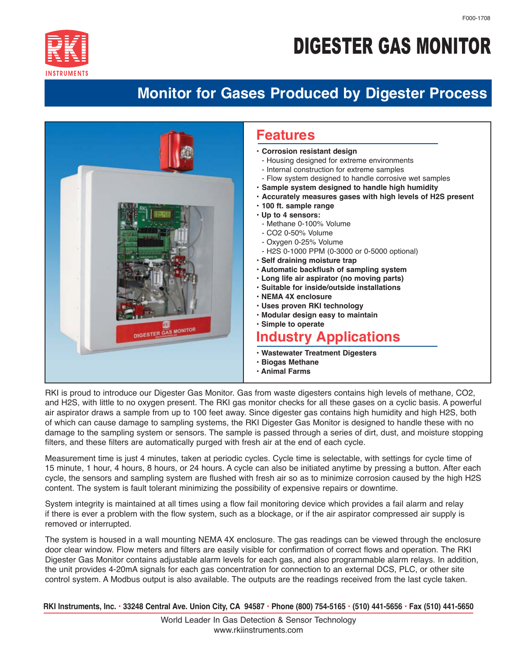

## DIGESTER GAS MONITOR

## **Monitor for Gases Produced by Digester Process**



RKI is proud to introduce our Digester Gas Monitor. Gas from waste digesters contains high levels of methane, CO2, and H2S, with little to no oxygen present. The RKI gas monitor checks for all these gases on a cyclic basis. A powerful air aspirator draws a sample from up to 100 feet away. Since digester gas contains high humidity and high H2S, both of which can cause damage to sampling systems, the RKI Digester Gas Monitor is designed to handle these with no damage to the sampling system or sensors. The sample is passed through a series of dirt, dust, and moisture stopping filters, and these filters are automatically purged with fresh air at the end of each cycle.

Measurement time is just 4 minutes, taken at periodic cycles. Cycle time is selectable, with settings for cycle time of 15 minute, 1 hour, 4 hours, 8 hours, or 24 hours. A cycle can also be initiated anytime by pressing a button. After each cycle, the sensors and sampling system are flushed with fresh air so as to minimize corrosion caused by the high H2S content. The system is fault tolerant minimizing the possibility of expensive repairs or downtime.

System integrity is maintained at all times using a flow fail monitoring device which provides a fail alarm and relay if there is ever a problem with the flow system, such as a blockage, or if the air aspirator compressed air supply is removed or interrupted.

The system is housed in a wall mounting NEMA 4X enclosure. The gas readings can be viewed through the enclosure door clear window. Flow meters and filters are easily visible for confirmation of correct flows and operation. The RKI Digester Gas Monitor contains adjustable alarm levels for each gas, and also programmable alarm relays. In addition, the unit provides 4-20mA signals for each gas concentration for connection to an external DCS, PLC, or other site control system. A Modbus output is also available. The outputs are the readings received from the last cycle taken.

 **RKI Instruments, Inc. • 33248 Central Ave. Union City, CA 94587 • Phone (800) 754-5165 • (510) 441-5656 • Fax (510) 441-5650**